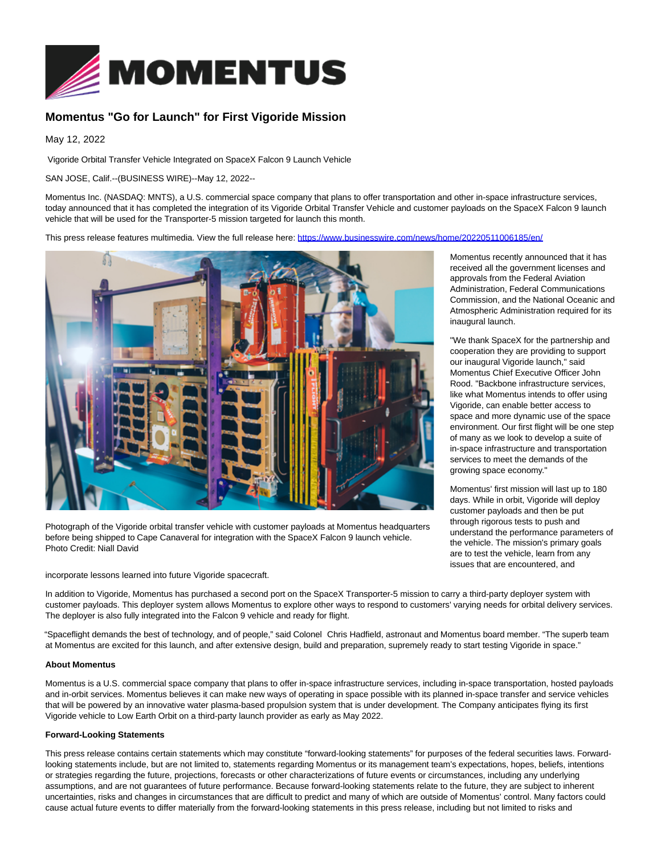

## **Momentus "Go for Launch" for First Vigoride Mission**

May 12, 2022

Vigoride Orbital Transfer Vehicle Integrated on SpaceX Falcon 9 Launch Vehicle

SAN JOSE, Calif.--(BUSINESS WIRE)--May 12, 2022--

Momentus Inc. (NASDAQ: MNTS), a U.S. commercial space company that plans to offer transportation and other in-space infrastructure services, today announced that it has completed the integration of its Vigoride Orbital Transfer Vehicle and customer payloads on the SpaceX Falcon 9 launch vehicle that will be used for the Transporter-5 mission targeted for launch this month.

This press release features multimedia. View the full release here:<https://www.businesswire.com/news/home/20220511006185/en/>



Photograph of the Vigoride orbital transfer vehicle with customer payloads at Momentus headquarters before being shipped to Cape Canaveral for integration with the SpaceX Falcon 9 launch vehicle. Photo Credit: Niall David

incorporate lessons learned into future Vigoride spacecraft.

Momentus recently announced that it has received all the government licenses and approvals from the Federal Aviation Administration, Federal Communications Commission, and the National Oceanic and Atmospheric Administration required for its inaugural launch.

"We thank SpaceX for the partnership and cooperation they are providing to support our inaugural Vigoride launch," said Momentus Chief Executive Officer John Rood. "Backbone infrastructure services, like what Momentus intends to offer using Vigoride, can enable better access to space and more dynamic use of the space environment. Our first flight will be one step of many as we look to develop a suite of in-space infrastructure and transportation services to meet the demands of the growing space economy."

Momentus' first mission will last up to 180 days. While in orbit, Vigoride will deploy customer payloads and then be put through rigorous tests to push and understand the performance parameters of the vehicle. The mission's primary goals are to test the vehicle, learn from any issues that are encountered, and

In addition to Vigoride, Momentus has purchased a second port on the SpaceX Transporter-5 mission to carry a third-party deployer system with customer payloads. This deployer system allows Momentus to explore other ways to respond to customers' varying needs for orbital delivery services. The deployer is also fully integrated into the Falcon 9 vehicle and ready for flight.

"Spaceflight demands the best of technology, and of people," said Colonel Chris Hadfield, astronaut and Momentus board member. "The superb team at Momentus are excited for this launch, and after extensive design, build and preparation, supremely ready to start testing Vigoride in space."

## **About Momentus**

Momentus is a U.S. commercial space company that plans to offer in-space infrastructure services, including in-space transportation, hosted payloads and in-orbit services. Momentus believes it can make new ways of operating in space possible with its planned in-space transfer and service vehicles that will be powered by an innovative water plasma-based propulsion system that is under development. The Company anticipates flying its first Vigoride vehicle to Low Earth Orbit on a third-party launch provider as early as May 2022.

## **Forward-Looking Statements**

This press release contains certain statements which may constitute "forward-looking statements" for purposes of the federal securities laws. Forwardlooking statements include, but are not limited to, statements regarding Momentus or its management team's expectations, hopes, beliefs, intentions or strategies regarding the future, projections, forecasts or other characterizations of future events or circumstances, including any underlying assumptions, and are not guarantees of future performance. Because forward-looking statements relate to the future, they are subject to inherent uncertainties, risks and changes in circumstances that are difficult to predict and many of which are outside of Momentus' control. Many factors could cause actual future events to differ materially from the forward-looking statements in this press release, including but not limited to risks and